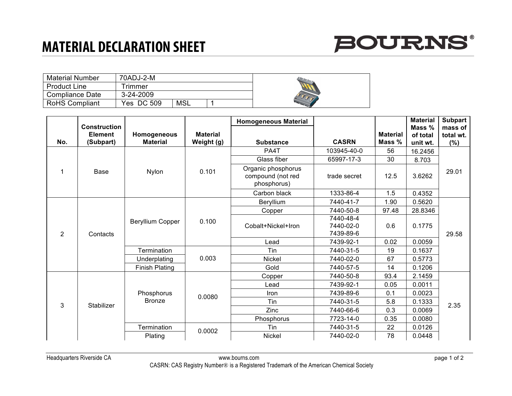## **MATERIAL DECLARATION SHEET**



| <b>Material Number</b> | 70ADJ-2-M     |     |  |
|------------------------|---------------|-----|--|
| <b>Product Line</b>    | <b>Timmer</b> |     |  |
| <b>Compliance Date</b> | 3-24-2009     |     |  |
| <b>RoHS Compliant</b>  | Yes DC 509    | MSL |  |

|                 |                                                    |                                |                               | <b>Homogeneous Material</b>                            |                                     |                           | <b>Material</b>                  | <b>Subpart</b>              |
|-----------------|----------------------------------------------------|--------------------------------|-------------------------------|--------------------------------------------------------|-------------------------------------|---------------------------|----------------------------------|-----------------------------|
| No.             | <b>Construction</b><br><b>Element</b><br>(Subpart) | Homogeneous<br><b>Material</b> | <b>Material</b><br>Weight (g) | <b>Substance</b>                                       | <b>CASRN</b>                        | <b>Material</b><br>Mass % | Mass $%$<br>of total<br>unit wt. | mass of<br>total wt.<br>(%) |
|                 | Base                                               | <b>Nylon</b>                   | 0.101                         | PA4T                                                   | 103945-40-0                         | 56                        | 16.2456                          | 29.01                       |
|                 |                                                    |                                |                               | Glass fiber                                            | 65997-17-3                          | 30                        | 8.703                            |                             |
|                 |                                                    |                                |                               | Organic phosphorus<br>compound (not red<br>phosphorus) | trade secret                        | 12.5                      | 3.6262                           |                             |
|                 |                                                    |                                |                               | Carbon black                                           | 1333-86-4                           | 1.5                       | 0.4352                           |                             |
| $\overline{2}$  | Contacts                                           | <b>Beryllium Copper</b>        | 0.100                         | Beryllium                                              | 7440-41-7                           | 1.90                      | 0.5620                           | 29.58                       |
|                 |                                                    |                                |                               | Copper                                                 | 7440-50-8                           | 97.48                     | 28.8346                          |                             |
|                 |                                                    |                                |                               | Cobalt+Nickel+Iron                                     | 7440-48-4<br>7440-02-0<br>7439-89-6 | 0.6                       | 0.1775                           |                             |
|                 |                                                    |                                |                               | Lead                                                   | 7439-92-1                           | 0.02                      | 0.0059                           |                             |
|                 |                                                    | Termination                    | 0.003                         | Tin                                                    | 7440-31-5                           | 19                        | 0.1637                           |                             |
|                 |                                                    | Underplating                   |                               | <b>Nickel</b>                                          | 7440-02-0                           | 67                        | 0.5773                           |                             |
|                 |                                                    | <b>Finish Plating</b>          |                               | Gold                                                   | 7440-57-5                           | 14                        | 0.1206                           |                             |
| 3<br>Stabilizer |                                                    | Phosphorus<br><b>Bronze</b>    | 0.0080                        | Copper                                                 | 7440-50-8                           | 93.4                      | 2.1459                           | 2.35                        |
|                 |                                                    |                                |                               | Lead                                                   | 7439-92-1                           | 0.05                      | 0.0011                           |                             |
|                 |                                                    |                                |                               | Iron                                                   | 7439-89-6                           | 0.1                       | 0.0023                           |                             |
|                 |                                                    |                                |                               | Tin                                                    | 7440-31-5                           | 5.8                       | 0.1333                           |                             |
|                 |                                                    |                                |                               | Zinc                                                   | 7440-66-6                           | 0.3                       | 0.0069                           |                             |
|                 |                                                    |                                |                               | Phosphorus                                             | 7723-14-0                           | 0.35                      | 0.0080                           |                             |
|                 |                                                    | Termination                    | 0.0002                        | Tin                                                    | 7440-31-5                           | 22                        | 0.0126                           |                             |
|                 |                                                    | Plating                        |                               | <b>Nickel</b>                                          | 7440-02-0                           | 78                        | 0.0448                           |                             |